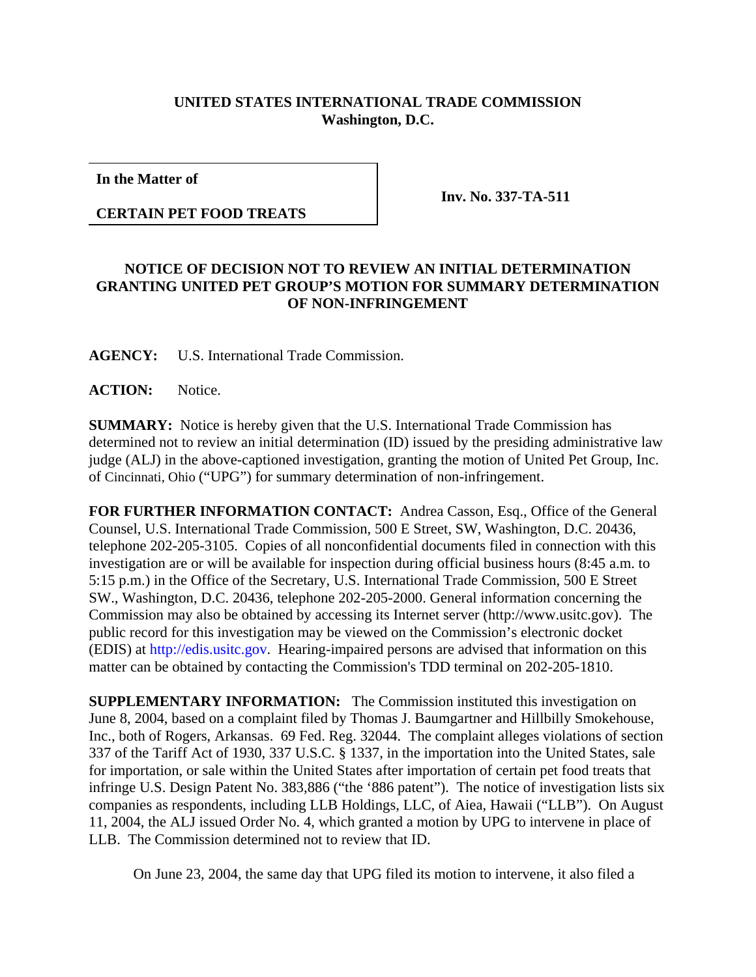## **UNITED STATES INTERNATIONAL TRADE COMMISSION Washington, D.C.**

**In the Matter of**

**CERTAIN PET FOOD TREATS**

**Inv. No. 337-TA-511**

## **NOTICE OF DECISION NOT TO REVIEW AN INITIAL DETERMINATION GRANTING UNITED PET GROUP'S MOTION FOR SUMMARY DETERMINATION OF NON-INFRINGEMENT**

**AGENCY:** U.S. International Trade Commission.

**ACTION:** Notice.

**SUMMARY:** Notice is hereby given that the U.S. International Trade Commission has determined not to review an initial determination (ID) issued by the presiding administrative law judge (ALJ) in the above-captioned investigation, granting the motion of United Pet Group, Inc. of Cincinnati, Ohio ("UPG") for summary determination of non-infringement.

**FOR FURTHER INFORMATION CONTACT:** Andrea Casson, Esq., Office of the General Counsel, U.S. International Trade Commission, 500 E Street, SW, Washington, D.C. 20436, telephone 202-205-3105. Copies of all nonconfidential documents filed in connection with this investigation are or will be available for inspection during official business hours (8:45 a.m. to 5:15 p.m.) in the Office of the Secretary, U.S. International Trade Commission, 500 E Street SW., Washington, D.C. 20436, telephone 202-205-2000. General information concerning the Commission may also be obtained by accessing its Internet server (http://www.usitc.gov). The public record for this investigation may be viewed on the Commission's electronic docket (EDIS) at http://edis.usitc.gov. Hearing-impaired persons are advised that information on this matter can be obtained by contacting the Commission's TDD terminal on 202-205-1810.

**SUPPLEMENTARY INFORMATION:** The Commission instituted this investigation on June 8, 2004, based on a complaint filed by Thomas J. Baumgartner and Hillbilly Smokehouse, Inc., both of Rogers, Arkansas. 69 Fed. Reg. 32044. The complaint alleges violations of section 337 of the Tariff Act of 1930, 337 U.S.C. § 1337, in the importation into the United States, sale for importation, or sale within the United States after importation of certain pet food treats that infringe U.S. Design Patent No. 383,886 ("the '886 patent"). The notice of investigation lists six companies as respondents, including LLB Holdings, LLC, of Aiea, Hawaii ("LLB"). On August 11, 2004, the ALJ issued Order No. 4, which granted a motion by UPG to intervene in place of LLB. The Commission determined not to review that ID.

On June 23, 2004, the same day that UPG filed its motion to intervene, it also filed a